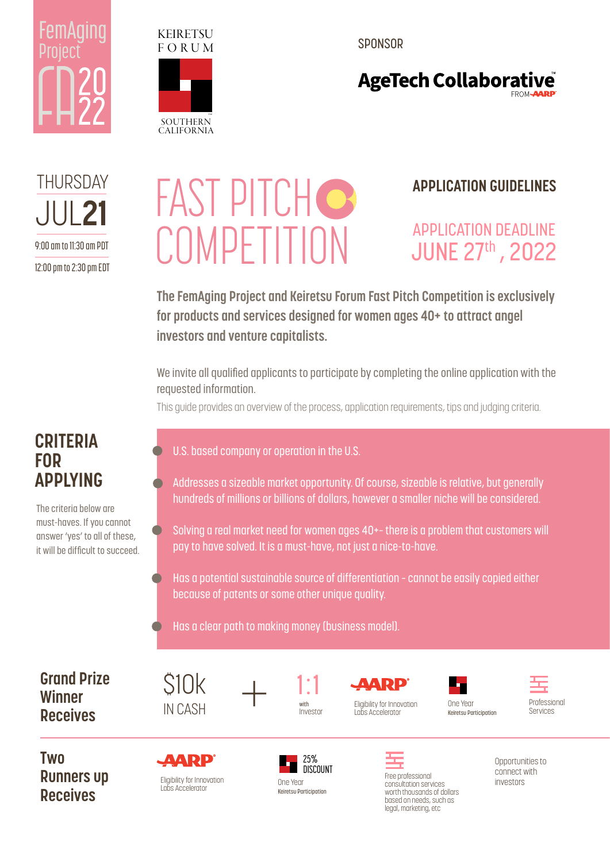



SPONSOR

### **AgeTech Collaborative**

JUL 21 THURSDAY 9:00 am to 11:30 am PDT 12:00 pm to 2:30 pm EDT

# *FAST PITCHO* **COMPETITION**

#### **APPLICATION GUIDELINES**

### APPLICATION DEADLINE JUNE 27th , 2022

**The FemAging Project and Keiretsu Forum Fast Pitch Competition is exclusively for products and services designed for women ages 40+ to attract angel investors and venture capitalists.**

We invite all qualified applicants to participate by completing the online application with the requested information.

This guide provides an overview of the process, application requirements, tips and judging criteria.

#### **CRITERIA FOR APPLYING**

The criteria below are must-haves. If you cannot answer 'yes' to all of these, it will be difficult to succeed.

#### U.S. based company or operation in the U.S.

- Addresses a sizeable market opportunity. Of course, sizeable is relative, but generally hundreds of millions or billions of dollars, however a smaller niche will be considered.
- Solving a real market need for women ages 40+– there is a problem that customers will pay to have solved. It is a must-have, not just a nice-to-have.
- Has a potential sustainable source of differentiation cannot be easily copied either because of patents or some other unique quality.
- Has a clear path to making money (business model).

**Grand Prize Winner Receives**

**Two Runners up Receives**



\$10k

IN CASH



1:1 with Investor

ADD. Eligibility for Innovation Labs Accelerator

> Free professional consultation services worth thousands of dollars based on needs, such as legal, marketing, etc





Opportunities to connect with investors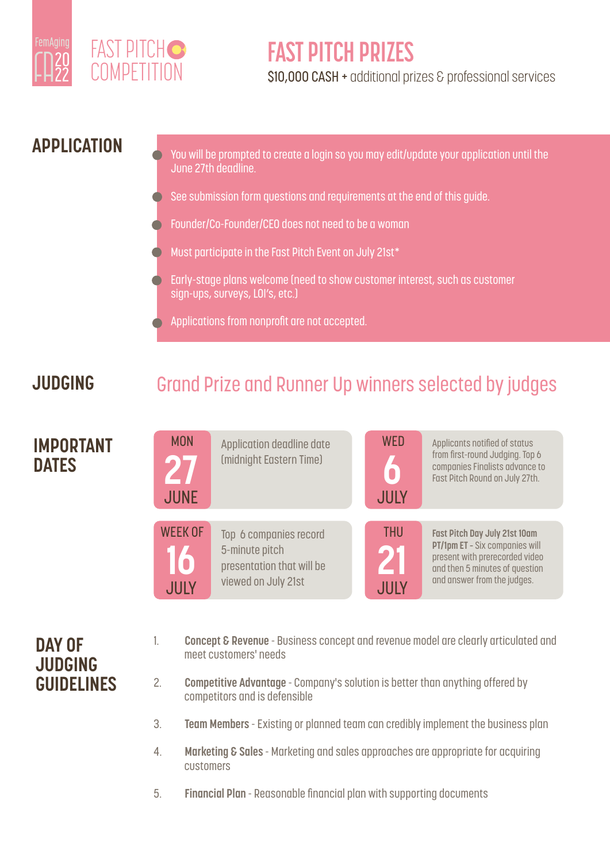



### **FAST PITCH PRIZES**

S10,000 CASH + additional prizes & professional services

#### **APPLICATION**

You will be prompted to create a login so you may edit/update your application until the June 27th deadline.

- See submission form questions and requirements at the end of this guide.
- Founder/Co-Founder/CEO does not need to be a woman
- Must participate in the Fast Pitch Event on July 21st\*
- Early-stage plans welcome (need to show customer interest, such as customer sign-ups, surveys, LOI's, etc.)
- Applications from nonprofit are not accepted.

#### **JUDGING**

### Grand Prize and Runner Up winners selected by judges



#### **DAY OF JUDGING GUIDELINES**

- 1. **Concept & Revenue** Business concept and revenue model are clearly articulated and meet customers' needs
- 2. **Competitive Advantage** Company's solution is better than anything offered by competitors and is defensible
- 3. **Team Members**  Existing or planned team can credibly implement the business plan
- 4. **Marketing & Sales** Marketing and sales approaches are appropriate for acquiring customers
- 5. **Financial Plan** Reasonable financial plan with supporting documents